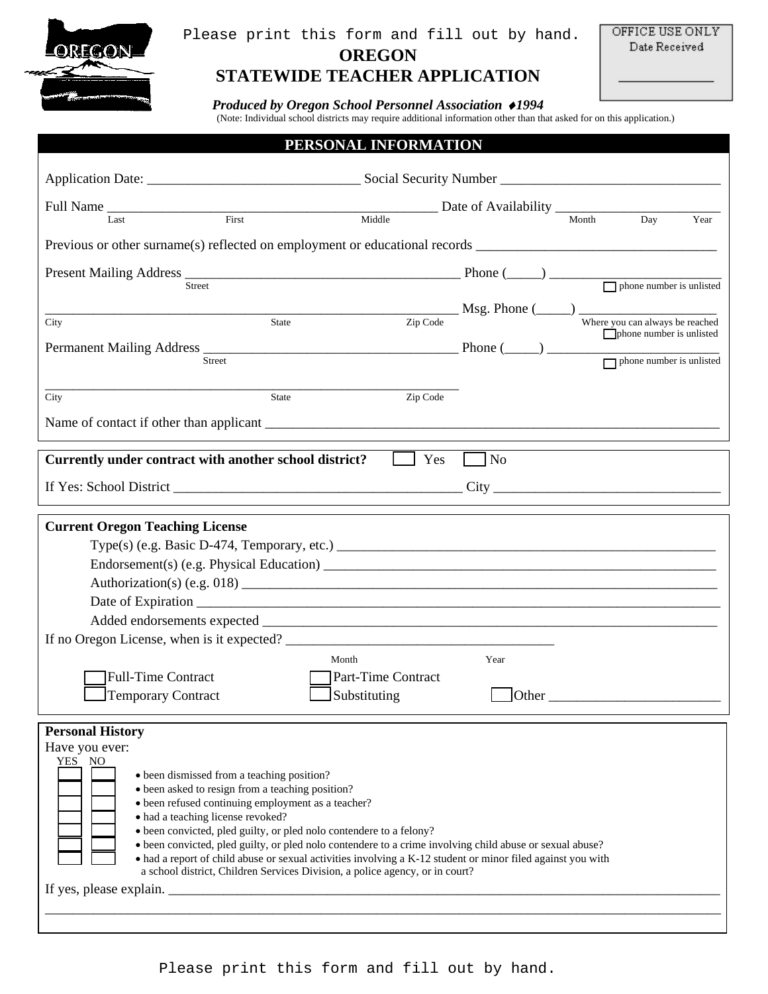

#### **OREGON**  Please print this form and fill out by hand.

OFFICE USE ONLY Date Received

### **STATEWIDE TEACHER APPLICATION**

*Produced by Oregon School Personnel Association* ♦*1994* 

(Note: Individual school districts may require additional information other than that asked for on this application.)

| PERSONAL INFORMATION                                                                                                                                                                                                                                                                                                                                                                                                                                                                                                                                                                                                                                                                                                     |                                                                                                                                                                   |
|--------------------------------------------------------------------------------------------------------------------------------------------------------------------------------------------------------------------------------------------------------------------------------------------------------------------------------------------------------------------------------------------------------------------------------------------------------------------------------------------------------------------------------------------------------------------------------------------------------------------------------------------------------------------------------------------------------------------------|-------------------------------------------------------------------------------------------------------------------------------------------------------------------|
|                                                                                                                                                                                                                                                                                                                                                                                                                                                                                                                                                                                                                                                                                                                          |                                                                                                                                                                   |
| Full Name                                                                                                                                                                                                                                                                                                                                                                                                                                                                                                                                                                                                                                                                                                                |                                                                                                                                                                   |
| First<br>Middle<br>Last                                                                                                                                                                                                                                                                                                                                                                                                                                                                                                                                                                                                                                                                                                  | Month<br>Day<br>Year                                                                                                                                              |
| Previous or other surname(s) reflected on employment or educational records __________________________________                                                                                                                                                                                                                                                                                                                                                                                                                                                                                                                                                                                                           |                                                                                                                                                                   |
| Present Mailing Address $\frac{1}{2}$ Phone ( $\frac{1}{2}$ ) $\frac{1}{2}$ Phone number is unlisted<br>State<br>City                                                                                                                                                                                                                                                                                                                                                                                                                                                                                                                                                                                                    | $\frac{1}{2^{2} \text{C} \cdot \text{C} \cdot \text{C} \cdot \text{C} \cdot \text{C} \cdot \text{C}}$ Where you can always be reached<br>phone number is unlisted |
| Zip Code<br>City<br><b>State</b>                                                                                                                                                                                                                                                                                                                                                                                                                                                                                                                                                                                                                                                                                         |                                                                                                                                                                   |
|                                                                                                                                                                                                                                                                                                                                                                                                                                                                                                                                                                                                                                                                                                                          |                                                                                                                                                                   |
| Yes<br>Currently under contract with another school district?                                                                                                                                                                                                                                                                                                                                                                                                                                                                                                                                                                                                                                                            | $\log$                                                                                                                                                            |
|                                                                                                                                                                                                                                                                                                                                                                                                                                                                                                                                                                                                                                                                                                                          |                                                                                                                                                                   |
| <b>Current Oregon Teaching License</b><br>If no Oregon License, when is it expected?<br>Month<br>Part-Time Contract<br><b>Full-Time Contract</b><br><b>Temporary Contract</b><br>Substituting                                                                                                                                                                                                                                                                                                                                                                                                                                                                                                                            | Year<br>Other                                                                                                                                                     |
| <b>Personal History</b><br>Have you ever:<br>YES NO<br>• been dismissed from a teaching position?<br>• been asked to resign from a teaching position?<br>· been refused continuing employment as a teacher?<br>· had a teaching license revoked?<br>• been convicted, pled guilty, or pled nolo contendere to a felony?<br>• been convicted, pled guilty, or pled nolo contendere to a crime involving child abuse or sexual abuse?<br>• had a report of child abuse or sexual activities involving a K-12 student or minor filed against you with<br>a school district, Children Services Division, a police agency, or in court?<br>If yes, please explain. $\sqrt{\frac{2}{1-\frac{1}{2}} + \frac{1}{2-\frac{1}{2}}}$ |                                                                                                                                                                   |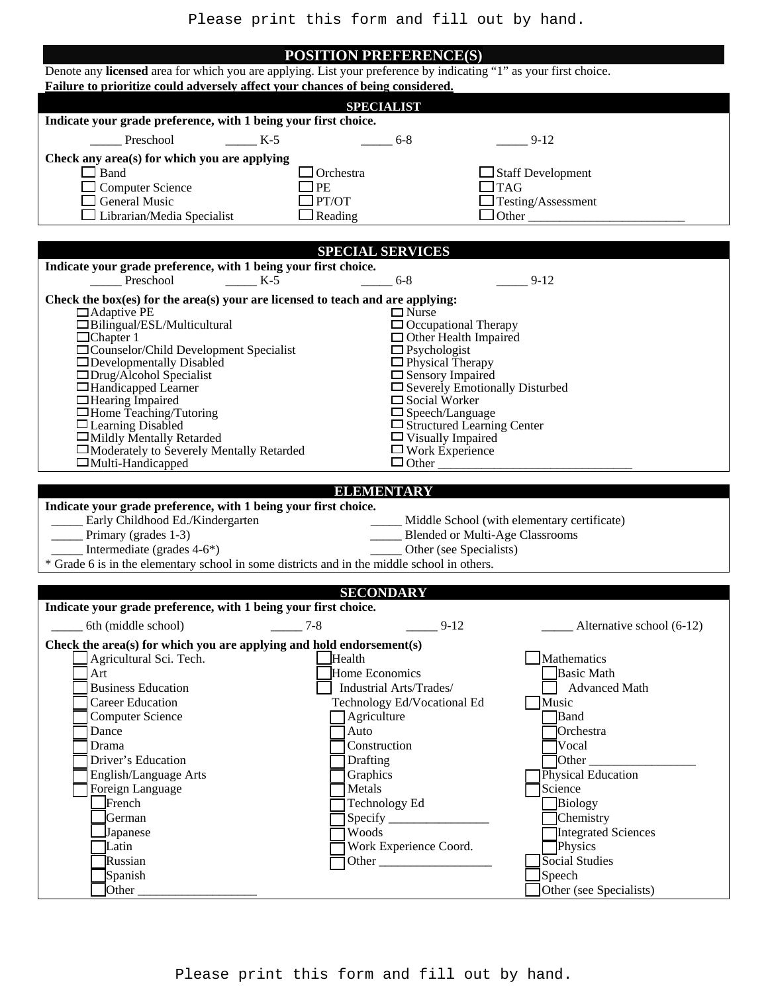#### **POSITION PREFERENCE(S)**

| Denote any licensed area for which you are applying. List your preference by indicating "1" as your first choice.<br>Failure to prioritize could adversely affect your chances of being considered. |                                                               |                                                   |
|-----------------------------------------------------------------------------------------------------------------------------------------------------------------------------------------------------|---------------------------------------------------------------|---------------------------------------------------|
|                                                                                                                                                                                                     | <b>SPECIALIST</b>                                             |                                                   |
| Indicate your grade preference, with 1 being your first choice.                                                                                                                                     |                                                               |                                                   |
| Preschool<br>$K-5$                                                                                                                                                                                  | $6 - 8$                                                       | $9-12$                                            |
| Check any area(s) for which you are applying                                                                                                                                                        |                                                               |                                                   |
| $\Box$ Band                                                                                                                                                                                         | $\Box$ Orchestra                                              | $\Box$ Staff Development                          |
| <b>Computer Science</b><br>$\Box$ General Music                                                                                                                                                     | $\Box$ PE<br>$\Box$ PT/OT                                     | $\Box$ TAG<br>$\Box$ Testing/Assessment           |
| $\Box$ Librarian/Media Specialist                                                                                                                                                                   | $\Box$ Reading                                                | $\Box$ Other                                      |
|                                                                                                                                                                                                     |                                                               |                                                   |
|                                                                                                                                                                                                     | <b>SPECIAL SERVICES</b>                                       |                                                   |
| Indicate your grade preference, with 1 being your first choice.<br>Preschool<br>$K-5$                                                                                                               | $6 - 8$                                                       | $9-12$                                            |
| Check the box(es) for the area(s) your are licensed to teach and are applying:                                                                                                                      |                                                               |                                                   |
| $\Box$ Adaptive PE<br>$\Box$ Bilingual/ESL/Multicultural                                                                                                                                            | $\Box$ Nurse<br>$\Box$ Occupational Therapy                   |                                                   |
| $\Box$ Chapter 1                                                                                                                                                                                    | $\Box$ Other Health Impaired                                  |                                                   |
| $\Box$ Counselor/Child Development Specialist<br>$\Box$ Developmentally Disabled                                                                                                                    | $\Box$ Psychologist<br>$\Box$ Physical Therapy                |                                                   |
| $\Box$ Drug/Alcohol Specialist                                                                                                                                                                      | $\Box$ Sensory Impaired                                       |                                                   |
| □Handicapped Learner<br>$\Box$ Hearing Impaired                                                                                                                                                     | $\Box$ Severely Emotionally Disturbed<br>$\Box$ Social Worker |                                                   |
| $\Box$ Home Teaching/Tutoring                                                                                                                                                                       | $\Box$ Speech/Language                                        |                                                   |
| $\Box$ Learning Disabled<br>□Mildly Mentally Retarded                                                                                                                                               | $\Box$ Structured Learning Center<br>$\Box$ Visually Impaired |                                                   |
| □Moderately to Severely Mentally Retarded                                                                                                                                                           | $\Box$ Work Experience                                        |                                                   |
| $\Box$ Multi-Handicapped                                                                                                                                                                            | $\Box$ Other                                                  |                                                   |
|                                                                                                                                                                                                     | <b>ELEMENTARY</b>                                             |                                                   |
| Indicate your grade preference, with 1 being your first choice.                                                                                                                                     |                                                               |                                                   |
| Early Childhood Ed./Kindergarten<br>Primary (grades 1-3)                                                                                                                                            | <b>Example 1</b> Blended or Multi-Age Classrooms              | _____ Middle School (with elementary certificate) |
| Intermediate (grades 4-6*)                                                                                                                                                                          | Other (see Specialists)                                       |                                                   |
| * Grade 6 is in the elementary school in some districts and in the middle school in others.                                                                                                         |                                                               |                                                   |
|                                                                                                                                                                                                     | <b>SECONDARY</b>                                              |                                                   |
| Indicate your grade preference, with 1 being your first choice.                                                                                                                                     |                                                               |                                                   |
| $-$ 6th (middle school) $-$ 7-8                                                                                                                                                                     | $9 - 12$                                                      | Alternative school (6-12)                         |
| Check the area(s) for which you are applying and hold endorsement(s)                                                                                                                                |                                                               |                                                   |
| Agricultural Sci. Tech.                                                                                                                                                                             | Health                                                        | Mathematics                                       |
| Art<br><b>Business Education</b>                                                                                                                                                                    | Home Economics<br>Industrial Arts/Trades/                     | <b>Basic Math</b><br><b>Advanced Math</b>         |
| <b>Career Education</b>                                                                                                                                                                             | Technology Ed/Vocational Ed                                   | Music                                             |
| <b>Computer Science</b>                                                                                                                                                                             | Agriculture                                                   | <b>B</b> and                                      |
| Dance                                                                                                                                                                                               | Auto                                                          | <b>Orchestra</b>                                  |
| Drama<br>Driver's Education                                                                                                                                                                         | Construction<br>Drafting                                      | <b>Vocal</b><br>$\frac{1}{2}$ Other               |
| English/Language Arts                                                                                                                                                                               | Graphics                                                      | Physical Education                                |
| Foreign Language                                                                                                                                                                                    | Metals                                                        | Science                                           |
| French                                                                                                                                                                                              | Technology Ed                                                 | Biology                                           |
| German<br>Japanese                                                                                                                                                                                  | Woods                                                         | <b>Chemistry</b><br>Integrated Sciences           |
| Latin                                                                                                                                                                                               | Work Experience Coord.                                        | Physics                                           |
| Russian                                                                                                                                                                                             |                                                               | Social Studies                                    |
| Spanish<br>Other $\overline{\phantom{a}}$                                                                                                                                                           |                                                               | Speech<br>Other (see Specialists)                 |
|                                                                                                                                                                                                     |                                                               |                                                   |

Please print this form and fill out by hand.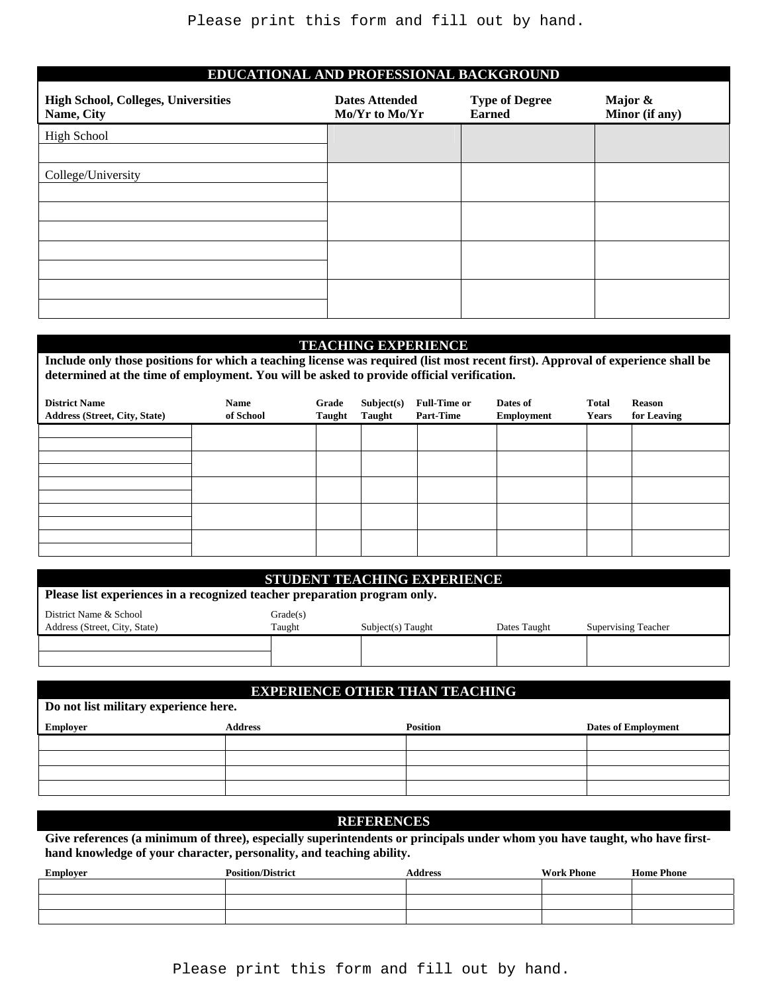| <b>High School, Colleges, Universities</b><br>Name, City | <b>Dates Attended</b><br>Mo/Yr to Mo/Yr | <b>Type of Degree</b><br><b>Earned</b> | Major &<br>Minor (if any) |
|----------------------------------------------------------|-----------------------------------------|----------------------------------------|---------------------------|
| High School                                              |                                         |                                        |                           |
| College/University                                       |                                         |                                        |                           |
|                                                          |                                         |                                        |                           |
|                                                          |                                         |                                        |                           |
|                                                          |                                         |                                        |                           |
|                                                          |                                         |                                        |                           |
|                                                          |                                         |                                        |                           |
|                                                          |                                         |                                        |                           |

#### **TEACHING EXPERIENCE**

**Include only those positions for which a teaching license was required (list most recent first). Approval of experience shall be determined at the time of employment. You will be asked to provide official verification.** 

| <b>District Name</b><br>Address (Street, City, State) | <b>Name</b><br>of School | Grade<br>Taught | Subject(s)<br>Taught | <b>Full-Time or</b><br><b>Part-Time</b> | Dates of<br>Employment | <b>Total</b><br><b>Years</b> | Reason<br>for Leaving |
|-------------------------------------------------------|--------------------------|-----------------|----------------------|-----------------------------------------|------------------------|------------------------------|-----------------------|
|                                                       |                          |                 |                      |                                         |                        |                              |                       |
|                                                       |                          |                 |                      |                                         |                        |                              |                       |
|                                                       |                          |                 |                      |                                         |                        |                              |                       |
|                                                       |                          |                 |                      |                                         |                        |                              |                       |
|                                                       |                          |                 |                      |                                         |                        |                              |                       |

|                                                                           |          | STUDENT TEACHING EXPERIENCE |              |                            |
|---------------------------------------------------------------------------|----------|-----------------------------|--------------|----------------------------|
| Please list experiences in a recognized teacher preparation program only. |          |                             |              |                            |
| District Name & School                                                    | Grade(s) |                             |              |                            |
| Address (Street, City, State)                                             | Taught   | $Subject(s)$ Taught         | Dates Taught | <b>Supervising Teacher</b> |
|                                                                           |          |                             |              |                            |
|                                                                           |          |                             |              |                            |

# **EXPERIENCE OTHER THAN TEACHING Do not list military experience here. Employer Employer Address Address Position <b>Dates of Employment Dates of Employment**

#### **REFERENCES**

**Give references (a minimum of three), especially superintendents or principals under whom you have taught, who have firsthand knowledge of your character, personality, and teaching ability.** 

| Employer | <b>Position/District</b> | <b>Address</b> | <b>Work Phone</b> | <b>Home Phone</b> |
|----------|--------------------------|----------------|-------------------|-------------------|
|          |                          |                |                   |                   |
|          |                          |                |                   |                   |
|          |                          |                |                   |                   |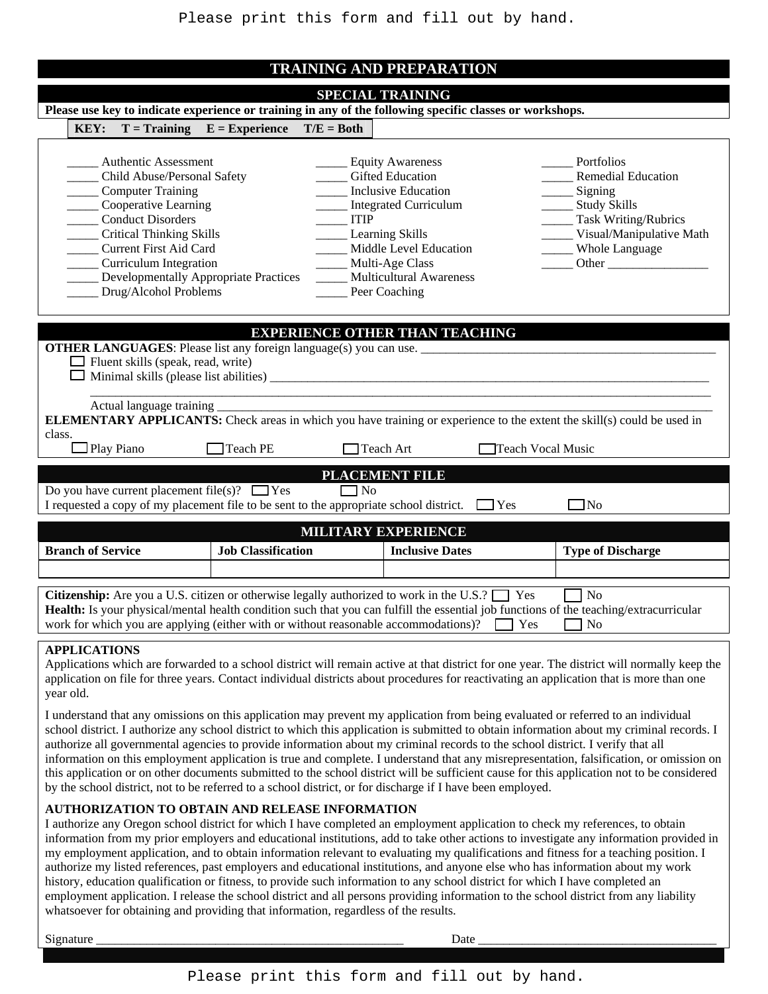|        |                                  |                                                                                                                                                                                                                                                            |                                                                                                                                                                                                   |                                       | <b>SPECIAL TRAINING</b>                                                                                                                                                                                                         |            |                                                                                                                                                                                                                                                                                                                                                                                                                                                                                                                                                                                                                                                                                                                                                                                                                             |
|--------|----------------------------------|------------------------------------------------------------------------------------------------------------------------------------------------------------------------------------------------------------------------------------------------------------|---------------------------------------------------------------------------------------------------------------------------------------------------------------------------------------------------|---------------------------------------|---------------------------------------------------------------------------------------------------------------------------------------------------------------------------------------------------------------------------------|------------|-----------------------------------------------------------------------------------------------------------------------------------------------------------------------------------------------------------------------------------------------------------------------------------------------------------------------------------------------------------------------------------------------------------------------------------------------------------------------------------------------------------------------------------------------------------------------------------------------------------------------------------------------------------------------------------------------------------------------------------------------------------------------------------------------------------------------------|
|        |                                  |                                                                                                                                                                                                                                                            | Please use key to indicate experience or training in any of the following specific classes or workshops.                                                                                          |                                       |                                                                                                                                                                                                                                 |            |                                                                                                                                                                                                                                                                                                                                                                                                                                                                                                                                                                                                                                                                                                                                                                                                                             |
|        | KEY:                             |                                                                                                                                                                                                                                                            | $T = Training$ $E = Experience$                                                                                                                                                                   | $T/E = Both$                          |                                                                                                                                                                                                                                 |            |                                                                                                                                                                                                                                                                                                                                                                                                                                                                                                                                                                                                                                                                                                                                                                                                                             |
|        |                                  | <b>Authentic Assessment</b><br>Child Abuse/Personal Safety<br>Computer Training<br>Cooperative Learning<br><b>Conduct Disorders</b><br><b>Critical Thinking Skills</b><br>Current First Aid Card<br><b>Curriculum Integration</b><br>Drug/Alcohol Problems | <b>Developmentally Appropriate Practices</b>                                                                                                                                                      | <b>ITIP</b>                           | __ Equity Awareness<br><b>Gifted Education</b><br><b>Inclusive Education</b><br>Integrated Curriculum<br><b>Learning Skills</b><br>Middle Level Education<br>Multi-Age Class<br><b>Multicultural Awareness</b><br>Peer Coaching |            | Portfolios<br><b>Remedial Education</b><br>Signing<br>_ Study Skills<br>Task Writing/Rubrics<br>Visual/Manipulative Math<br>Whole Language<br>Other                                                                                                                                                                                                                                                                                                                                                                                                                                                                                                                                                                                                                                                                         |
|        |                                  |                                                                                                                                                                                                                                                            |                                                                                                                                                                                                   | <b>EXPERIENCE OTHER THAN TEACHING</b> |                                                                                                                                                                                                                                 |            |                                                                                                                                                                                                                                                                                                                                                                                                                                                                                                                                                                                                                                                                                                                                                                                                                             |
| class. | $\Box$ Play Piano                | $\Box$ Fluent skills (speak, read, write)<br>Actual language training                                                                                                                                                                                      | <b>OTHER LANGUAGES:</b> Please list any foreign language(s) you can use.<br><b>Teach PE</b>                                                                                                       |                                       | Teach Art                                                                                                                                                                                                                       |            | <b>ELEMENTARY APPLICANTS:</b> Check areas in which you have training or experience to the extent the skill(s) could be used in<br>Teach Vocal Music                                                                                                                                                                                                                                                                                                                                                                                                                                                                                                                                                                                                                                                                         |
|        |                                  |                                                                                                                                                                                                                                                            |                                                                                                                                                                                                   |                                       | PLACEMENT FILE                                                                                                                                                                                                                  |            |                                                                                                                                                                                                                                                                                                                                                                                                                                                                                                                                                                                                                                                                                                                                                                                                                             |
|        |                                  |                                                                                                                                                                                                                                                            | Do you have current placement file(s)? $\Box$ Yes<br>I requested a copy of my placement file to be sent to the appropriate school district.                                                       | $\Box$ No                             |                                                                                                                                                                                                                                 | $\Box$ Yes | ∃No                                                                                                                                                                                                                                                                                                                                                                                                                                                                                                                                                                                                                                                                                                                                                                                                                         |
|        |                                  |                                                                                                                                                                                                                                                            |                                                                                                                                                                                                   | <b>MILITARY EXPERIENCE</b>            |                                                                                                                                                                                                                                 |            |                                                                                                                                                                                                                                                                                                                                                                                                                                                                                                                                                                                                                                                                                                                                                                                                                             |
|        | <b>Branch of Service</b>         |                                                                                                                                                                                                                                                            | <b>Job Classification</b>                                                                                                                                                                         |                                       | <b>Inclusive Dates</b>                                                                                                                                                                                                          |            | <b>Type of Discharge</b>                                                                                                                                                                                                                                                                                                                                                                                                                                                                                                                                                                                                                                                                                                                                                                                                    |
|        |                                  |                                                                                                                                                                                                                                                            |                                                                                                                                                                                                   |                                       |                                                                                                                                                                                                                                 |            |                                                                                                                                                                                                                                                                                                                                                                                                                                                                                                                                                                                                                                                                                                                                                                                                                             |
|        |                                  |                                                                                                                                                                                                                                                            | <b>Citizenship:</b> Are you a U.S. citizen or otherwise legally authorized to work in the U.S.? $\Box$ Yes<br>work for which you are applying (either with or without reasonable accommodations)? |                                       |                                                                                                                                                                                                                                 | Yes        | No<br>Health: Is your physical/mental health condition such that you can fulfill the essential job functions of the teaching/extracurricular<br>No                                                                                                                                                                                                                                                                                                                                                                                                                                                                                                                                                                                                                                                                          |
|        | <b>APPLICATIONS</b><br>year old. |                                                                                                                                                                                                                                                            |                                                                                                                                                                                                   |                                       |                                                                                                                                                                                                                                 |            | Applications which are forwarded to a school district will remain active at that district for one year. The district will normally keep the<br>application on file for three years. Contact individual districts about procedures for reactivating an application that is more than one                                                                                                                                                                                                                                                                                                                                                                                                                                                                                                                                     |
|        |                                  |                                                                                                                                                                                                                                                            | by the school district, not to be referred to a school district, or for discharge if I have been employed.                                                                                        |                                       |                                                                                                                                                                                                                                 |            | I understand that any omissions on this application may prevent my application from being evaluated or referred to an individual<br>school district. I authorize any school district to which this application is submitted to obtain information about my criminal records. I<br>authorize all governmental agencies to provide information about my criminal records to the school district. I verify that all<br>information on this employment application is true and complete. I understand that any misrepresentation, falsification, or omission on<br>this application or on other documents submitted to the school district will be sufficient cause for this application not to be considered                                                                                                                   |
|        |                                  |                                                                                                                                                                                                                                                            | AUTHORIZATION TO OBTAIN AND RELEASE INFORMATION                                                                                                                                                   |                                       |                                                                                                                                                                                                                                 |            | I authorize any Oregon school district for which I have completed an employment application to check my references, to obtain<br>information from my prior employers and educational institutions, add to take other actions to investigate any information provided in<br>my employment application, and to obtain information relevant to evaluating my qualifications and fitness for a teaching position. I<br>authorize my listed references, past employers and educational institutions, and anyone else who has information about my work<br>history, education qualification or fitness, to provide such information to any school district for which I have completed an<br>employment application. I release the school district and all persons providing information to the school district from any liability |

Signature \_\_\_\_\_\_\_\_\_\_\_\_\_\_\_\_\_\_\_\_\_\_\_\_\_\_\_\_\_\_\_\_\_\_\_\_\_\_\_\_\_\_\_\_\_\_\_\_\_ Date \_\_\_\_\_\_\_\_\_\_\_\_\_\_\_\_\_\_\_\_\_\_\_\_\_\_\_\_\_\_\_\_\_\_\_\_\_\_

whatsoever for obtaining and providing that information, regardless of the results.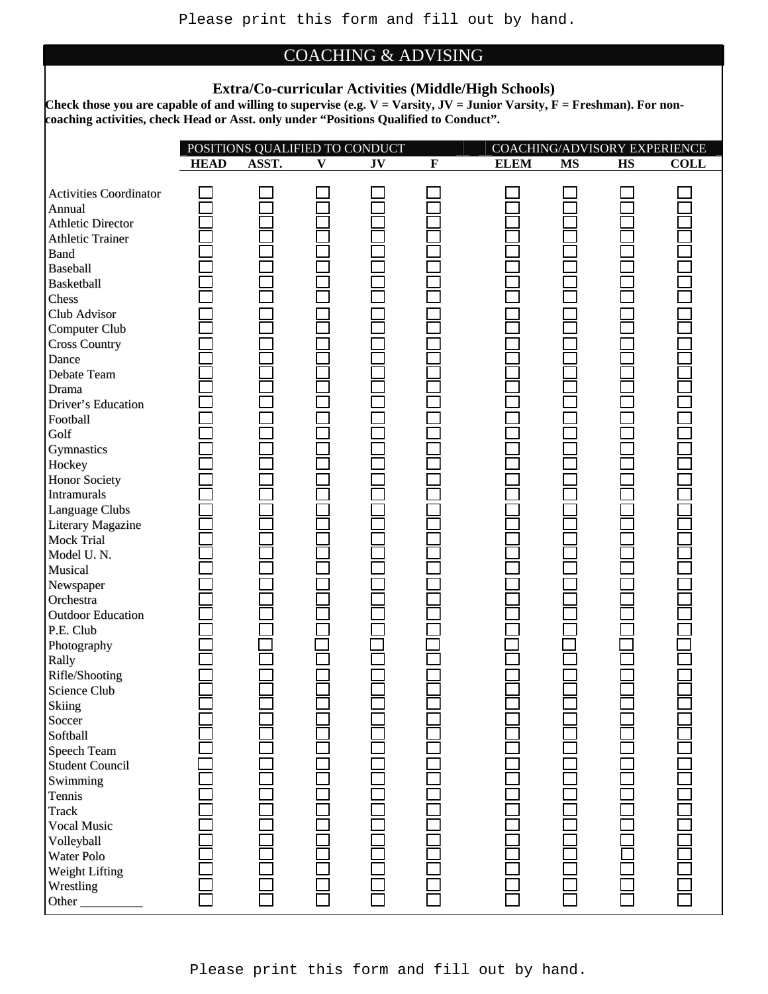### COACHING & ADVISING

#### **Extra/Co-curricular Activities (Middle/High Schools)**

Check those you are capable of and willing to supervise (e.g. V = Varsity, JV = Junior Varsity, F = Freshman). For non**coaching activities, check Head or Asst. only under "Positions Qualified to Conduct".** 

|                               |             | POSITIONS QUALIFIED TO CONDUCT |              |    |             |             |           | COACHING/ADVISORY EXPERIENCE |             |
|-------------------------------|-------------|--------------------------------|--------------|----|-------------|-------------|-----------|------------------------------|-------------|
|                               | <b>HEAD</b> | ASST.                          | $\mathbf{V}$ | JV | $\mathbf F$ | <b>ELEM</b> | <b>MS</b> | HS                           | <b>COLL</b> |
|                               |             |                                |              |    |             |             |           |                              |             |
| <b>Activities Coordinator</b> |             |                                |              |    |             |             |           |                              |             |
| Annual                        |             |                                |              |    |             |             |           |                              |             |
| <b>Athletic Director</b>      |             |                                |              |    |             |             |           |                              |             |
| <b>Athletic Trainer</b>       |             |                                |              |    |             |             |           |                              |             |
| <b>Band</b>                   |             |                                |              |    |             |             |           |                              |             |
| Baseball                      |             |                                |              |    |             |             |           |                              |             |
| Basketball                    |             |                                |              |    |             |             |           |                              |             |
| Chess                         |             |                                |              |    |             |             |           |                              |             |
| Club Advisor                  |             |                                |              |    |             |             |           |                              |             |
| <b>Computer Club</b>          |             |                                |              |    |             |             |           |                              |             |
| <b>Cross Country</b>          |             |                                |              |    |             |             |           |                              |             |
| Dance                         |             |                                |              |    |             |             |           |                              |             |
| Debate Team                   |             |                                |              |    |             |             |           |                              |             |
| Drama                         |             |                                |              |    |             |             |           |                              |             |
| Driver's Education            |             |                                |              |    |             |             |           |                              |             |
| Football                      |             |                                |              |    |             |             |           |                              |             |
| Golf                          |             |                                |              |    |             |             |           |                              |             |
| Gymnastics                    |             |                                |              |    |             |             |           |                              |             |
| Hockey                        |             |                                |              |    |             |             |           |                              |             |
| <b>Honor Society</b>          |             |                                |              |    |             |             |           |                              |             |
| <b>Intramurals</b>            |             |                                |              |    |             |             |           |                              |             |
| Language Clubs                |             |                                |              |    |             |             |           |                              |             |
| <b>Literary Magazine</b>      |             |                                |              |    |             |             |           |                              |             |
| <b>Mock Trial</b>             |             |                                |              |    |             |             |           |                              |             |
| Model U.N.                    |             |                                |              |    |             |             |           |                              |             |
| Musical                       |             |                                |              |    |             |             |           |                              |             |
| Newspaper                     |             |                                |              |    |             |             |           |                              |             |
| Orchestra                     |             |                                |              |    |             |             |           |                              |             |
| <b>Outdoor Education</b>      |             |                                |              |    |             |             |           |                              |             |
| P.E. Club                     |             |                                |              |    |             |             |           |                              |             |
| Photography                   |             |                                |              |    |             |             |           |                              |             |
| Rally                         |             |                                |              |    |             |             |           |                              |             |
| Rifle/Shooting                |             |                                |              |    |             |             |           |                              |             |
| Science Club                  |             |                                |              |    |             |             |           |                              |             |
| <b>Skiing</b>                 |             |                                |              |    |             |             |           |                              |             |
| Soccer                        |             |                                |              |    |             |             |           |                              |             |
| Softball                      |             |                                |              |    |             |             |           |                              |             |
| Speech Team                   |             |                                |              |    |             |             |           |                              |             |
| <b>Student Council</b>        |             |                                |              |    |             |             |           |                              |             |
| Swimming                      |             |                                |              |    |             |             |           |                              |             |
| Tennis                        |             |                                |              |    |             |             |           |                              |             |
| <b>Track</b>                  |             |                                |              |    |             |             |           |                              |             |
| Vocal Music                   |             |                                |              |    |             |             |           |                              |             |
| Volleyball                    |             |                                |              |    |             |             |           |                              |             |
| Water Polo                    |             |                                |              |    |             |             |           |                              |             |
|                               |             |                                |              |    |             |             |           |                              |             |
| Weight Lifting                |             |                                |              |    |             |             |           |                              |             |
| Wrestling                     |             |                                |              |    |             |             |           |                              |             |
| Other_                        |             |                                |              |    |             |             |           |                              |             |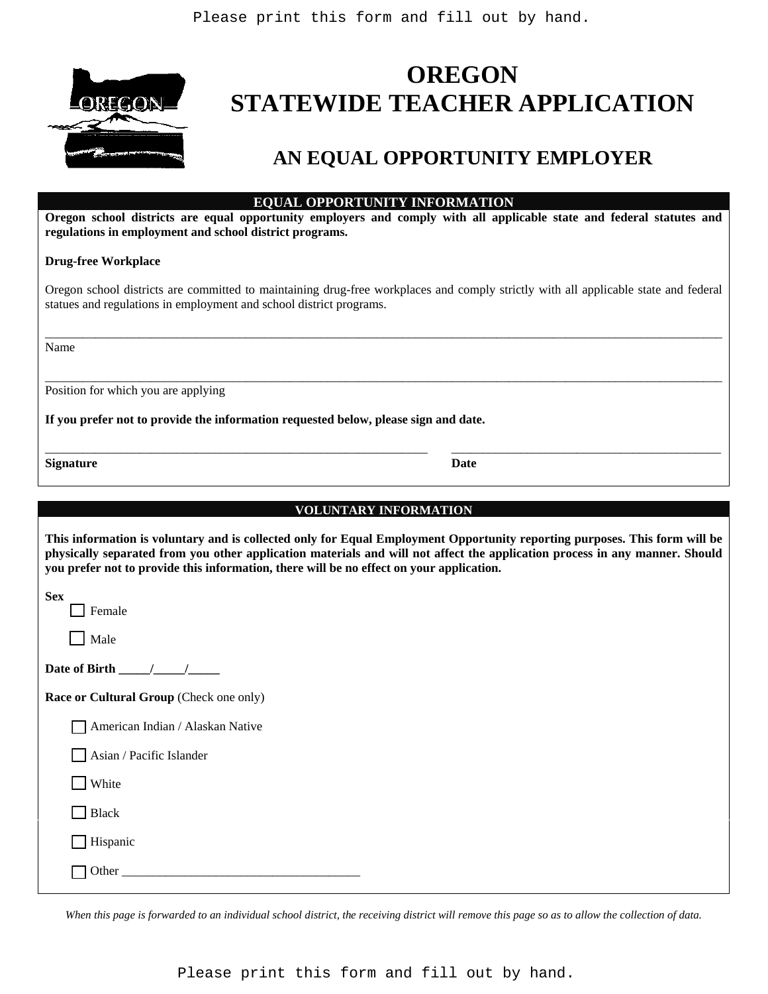

# **OREGON STATEWIDE TEACHER APPLICATION**

# **AN EQUAL OPPORTUNITY EMPLOYER**

| <b>EQUAL OPPORTUNITY INFORMATION</b> |  |
|--------------------------------------|--|
|--------------------------------------|--|

**Oregon school districts are equal opportunity employers and comply with all applicable state and federal statutes and regulations in employment and school district programs.** 

#### **Drug-free Workplace**

Oregon school districts are committed to maintaining drug-free workplaces and comply strictly with all applicable state and federal statues and regulations in employment and school district programs.

\_\_\_\_\_\_\_\_\_\_\_\_\_\_\_\_\_\_\_\_\_\_\_\_\_\_\_\_\_\_\_\_\_\_\_\_\_\_\_\_\_\_\_\_\_\_\_\_\_\_\_\_\_\_\_\_\_\_\_\_\_\_\_\_\_\_\_\_\_\_\_\_\_\_\_\_\_\_\_\_\_\_\_\_\_\_\_\_\_\_\_\_\_\_\_\_\_\_\_\_\_\_\_\_\_\_\_\_

\_\_\_\_\_\_\_\_\_\_\_\_\_\_\_\_\_\_\_\_\_\_\_\_\_\_\_\_\_\_\_\_\_\_\_\_\_\_\_\_\_\_\_\_\_\_\_\_\_\_\_\_\_\_\_\_\_\_\_\_\_\_\_\_\_\_\_\_\_\_\_\_\_\_\_\_\_\_\_\_\_\_\_\_\_\_\_\_\_\_\_\_\_\_\_\_\_\_\_\_\_\_\_\_\_\_\_\_

Name

Position for which you are applying

**If you prefer not to provide the information requested below, please sign and date.** 

**Signature** Date

|--|

\_\_\_\_\_\_\_\_\_\_\_\_\_\_\_\_\_\_\_\_\_\_\_\_\_\_\_\_\_\_\_\_\_\_\_\_\_\_\_\_\_\_\_\_\_\_\_\_\_\_\_\_\_\_\_\_\_\_\_\_\_ \_\_\_\_\_\_\_\_\_\_\_\_\_\_\_\_\_\_\_\_\_\_\_\_\_\_\_\_\_\_\_\_\_\_\_\_\_\_\_\_\_\_\_

| This information is voluntary and is collected only for Equal Employment Opportunity reporting purposes. This form will be<br>physically separated from you other application materials and will not affect the application process in any manner. Should<br>you prefer not to provide this information, there will be no effect on your application. |
|-------------------------------------------------------------------------------------------------------------------------------------------------------------------------------------------------------------------------------------------------------------------------------------------------------------------------------------------------------|
| <b>Sex</b><br><b>Exercise</b>                                                                                                                                                                                                                                                                                                                         |
| Male                                                                                                                                                                                                                                                                                                                                                  |

| Date of Birth |  |  |
|---------------|--|--|
|---------------|--|--|

**Race or Cultural Group** (Check one only)

| $\Box$ American Indian / Alaskan Native |  |  |  |
|-----------------------------------------|--|--|--|
|-----------------------------------------|--|--|--|

Asian / Pacific Islander

 $\Box$  White

Black

Hispanic

|--|--|

*When this page is forwarded to an individual school district, the receiving district will remove this page so as to allow the collection of data.* 

Please print this form and fill out by hand.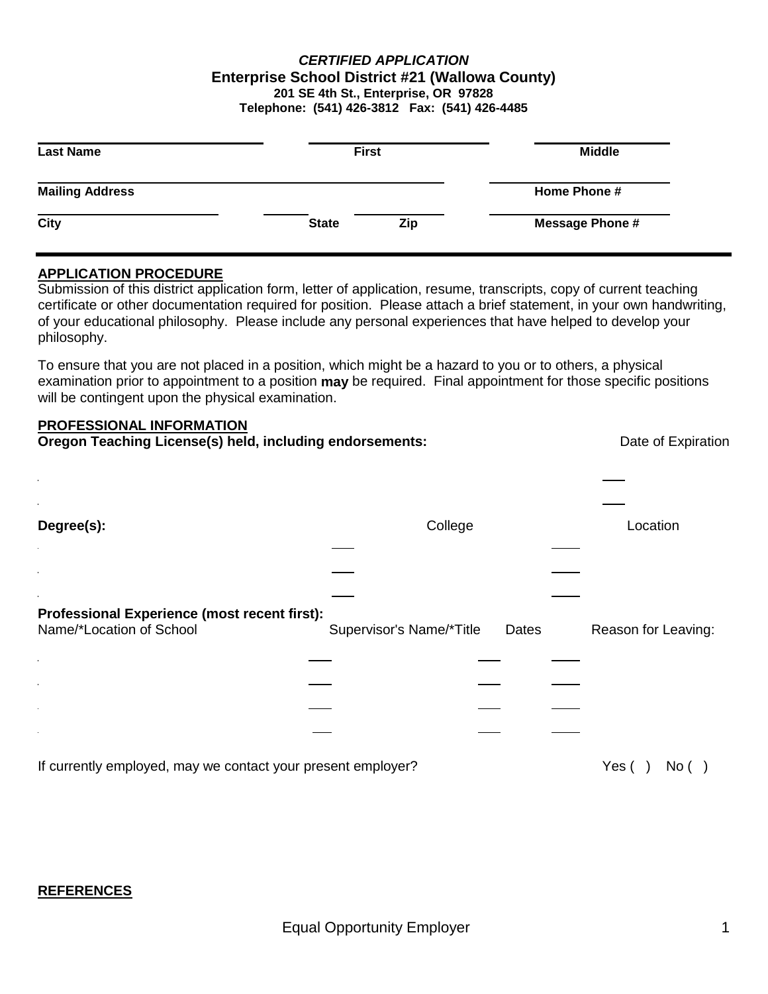#### *CERTIFIED APPLICATION* **Enterprise School District #21 (Wallowa County) 201 SE 4th St., Enterprise, OR 97828 Telephone: (541) 426-3812 Fax: (541) 426-4485**

| <b>Last Name</b>       | <b>First</b> |     | <b>Middle</b>          |  |
|------------------------|--------------|-----|------------------------|--|
| <b>Mailing Address</b> |              |     | Home Phone #           |  |
| <b>City</b>            | <b>State</b> | Zip | <b>Message Phone #</b> |  |

#### **APPLICATION PROCEDURE**

Submission of this district application form, letter of application, resume, transcripts, copy of current teaching certificate or other documentation required for position. Please attach a brief statement, in your own handwriting, of your educational philosophy. Please include any personal experiences that have helped to develop your philosophy.

To ensure that you are not placed in a position, which might be a hazard to you or to others, a physical examination prior to appointment to a position **may** be required. Final appointment for those specific positions will be contingent upon the physical examination.

# **PROFESSIONAL INFORMATION**

| Oregon Teaching License(s) held, including endorsements:                 |                          |       |  | Date of Expiration       |  |
|--------------------------------------------------------------------------|--------------------------|-------|--|--------------------------|--|
|                                                                          |                          |       |  |                          |  |
| Degree(s):                                                               | College                  |       |  | Location                 |  |
|                                                                          |                          |       |  |                          |  |
|                                                                          |                          |       |  |                          |  |
|                                                                          |                          |       |  |                          |  |
| Professional Experience (most recent first):<br>Name/*Location of School | Supervisor's Name/*Title | Dates |  | Reason for Leaving:      |  |
|                                                                          |                          |       |  |                          |  |
|                                                                          |                          |       |  |                          |  |
|                                                                          |                          |       |  |                          |  |
|                                                                          |                          |       |  |                          |  |
| If currently employed, may we contact your present employer?             |                          |       |  | Yes (<br>No <sub>1</sub> |  |

#### **REFERENCES**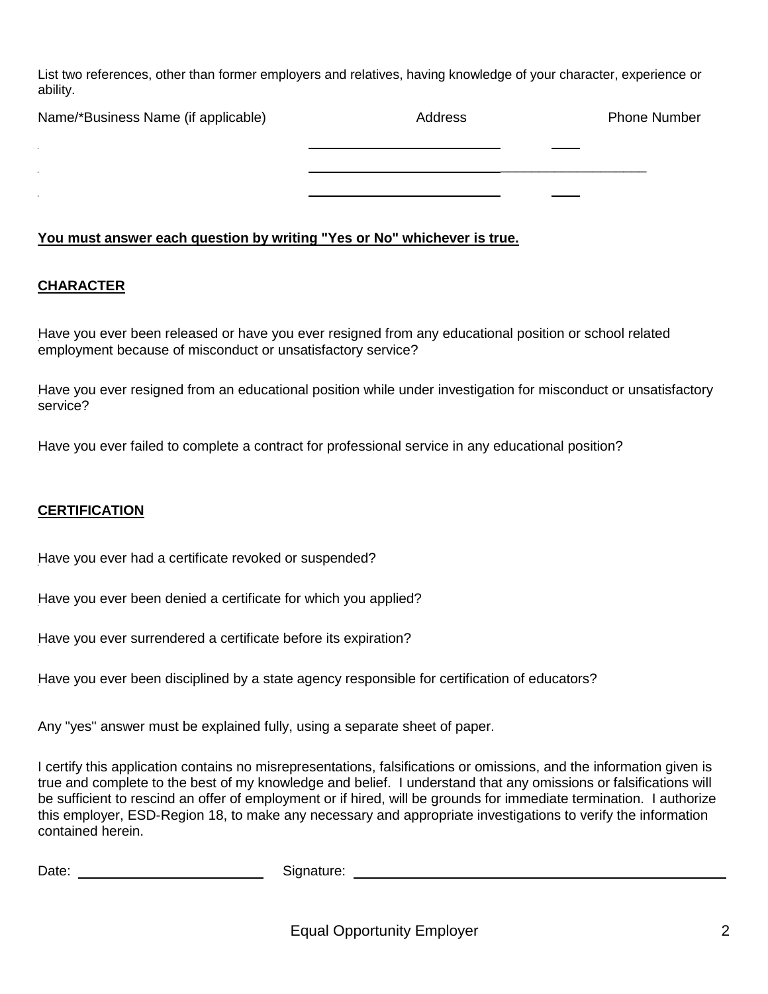List two references, other than former employers and relatives, having knowledge of your character, experience or ability.

| Name/*Business Name (if applicable) | Address | <b>Phone Number</b> |
|-------------------------------------|---------|---------------------|
|                                     |         |                     |
|                                     |         |                     |
|                                     |         |                     |

#### **You must answer each question by writing "Yes or No" whichever is true.**

#### **CHARACTER**

Have you ever been released or have you ever resigned from any educational position or school related employment because of misconduct or unsatisfactory service?

Have you ever resigned from an educational position while under investigation for misconduct or unsatisfactory service?

Have you ever failed to complete a contract for professional service in any educational position?

#### **CERTIFICATION**

Have you ever had a certificate revoked or suspended?

Have you ever been denied a certificate for which you applied?

Have you ever surrendered a certificate before its expiration?

Have you ever been disciplined by a state agency responsible for certification of educators?

Any "yes" answer must be explained fully, using a separate sheet of paper.

I certify this application contains no misrepresentations, falsifications or omissions, and the information given is true and complete to the best of my knowledge and belief. I understand that any omissions or falsifications will be sufficient to rescind an offer of employment or if hired, will be grounds for immediate termination. I authorize this employer, ESD-Region 18, to make any necessary and appropriate investigations to verify the information contained herein.

| Date: | Signature: |
|-------|------------|
|-------|------------|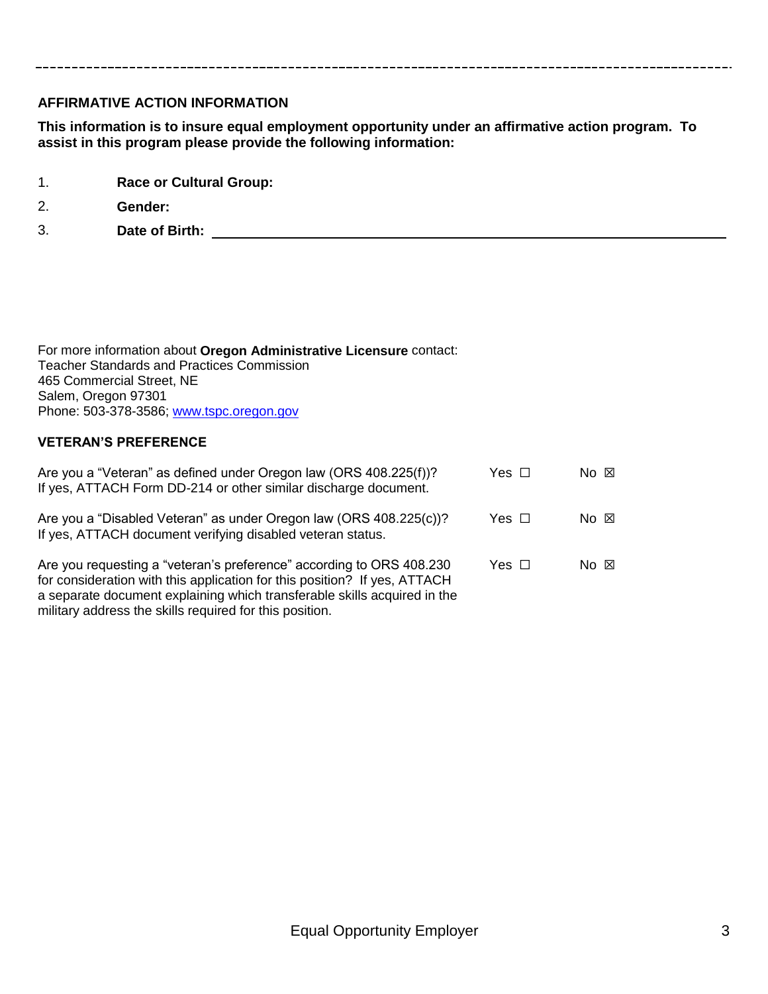#### **AFFIRMATIVE ACTION INFORMATION**

**This information is to insure equal employment opportunity under an affirmative action program. To assist in this program please provide the following information:**

- 1. **Race or Cultural Group:**
- 2. **Gender:**

3. **Date of Birth:** 

For more information about **Oregon Administrative Licensure** contact: Teacher Standards and Practices Commission 465 Commercial Street, NE Salem, Oregon 97301 Phone: 503-378-3586; [www.tspc.oregon.gov](http://../cindy_bc/AppData/Local/Temp/www.tspc.oregon.gov)

#### **VETERAN'S PREFERENCE**

| Are you a "Veteran" as defined under Oregon law (ORS 408.225(f))?<br>If yes, ATTACH Form DD-214 or other similar discharge document.                                                                                                                                                     | Yes □ | $No \tIm$ |
|------------------------------------------------------------------------------------------------------------------------------------------------------------------------------------------------------------------------------------------------------------------------------------------|-------|-----------|
| Are you a "Disabled Veteran" as under Oregon law (ORS 408.225(c))?<br>If yes, ATTACH document verifying disabled veteran status.                                                                                                                                                         | Yes □ | $No \tIm$ |
| Are you requesting a "veteran's preference" according to ORS 408.230<br>for consideration with this application for this position? If yes, ATTACH<br>a separate document explaining which transferable skills acquired in the<br>military address the skills required for this position. | Yes □ | $No \tIm$ |